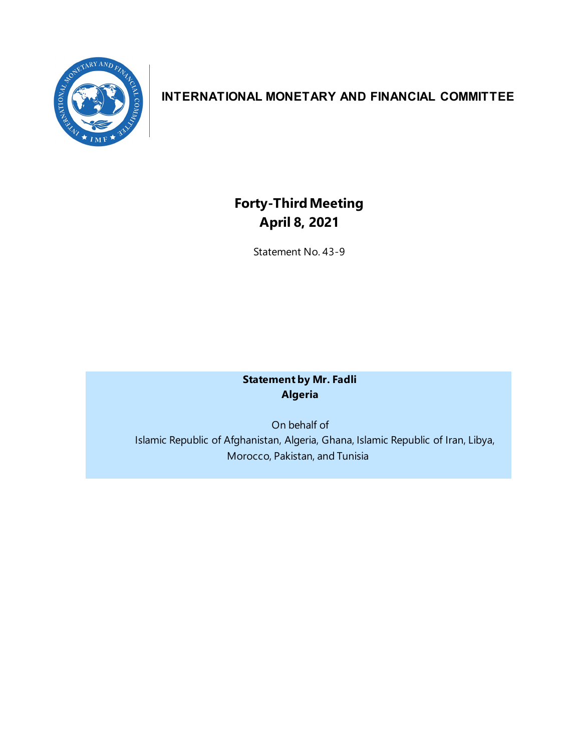

# **INTERNATIONAL MONETARY AND FINANCIAL COMMITTEE**

# **Forty-ThirdMeeting April 8, 2021**

Statement No. 43-9

## **Statement by Mr. Fadli Algeria**

On behalf of Islamic Republic of Afghanistan, Algeria, Ghana, Islamic Republic of Iran, Libya, Morocco, Pakistan, and Tunisia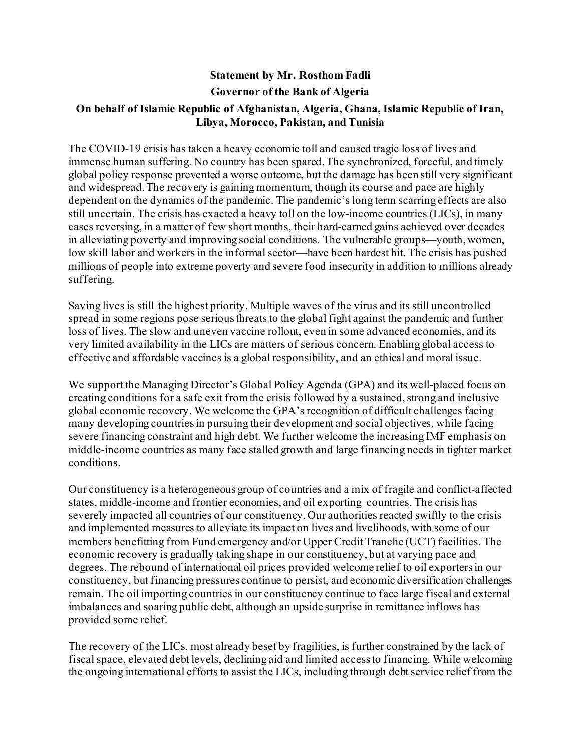### **Statement by Mr. Rosthom Fadli Governor of the Bank of Algeria**

### **On behalf of Islamic Republic of Afghanistan, Algeria, Ghana, Islamic Republic of Iran, Libya, Morocco, Pakistan, and Tunisia**

The COVID-19 crisis has taken a heavy economic toll and caused tragic loss of lives and immense human suffering. No country has been spared. The synchronized, forceful, and timely global policy response prevented a worse outcome, but the damage has been still very significant and widespread. The recovery is gaining momentum, though its course and pace are highly dependent on the dynamics of the pandemic. The pandemic's long term scarring effects are also still uncertain. The crisis has exacted a heavy toll on the low-income countries (LICs), in many cases reversing, in a matter of few short months, their hard-earned gains achieved over decades in alleviating poverty and improving social conditions. The vulnerable groups—youth, women, low skill labor and workers in the informal sector—have been hardest hit. The crisis has pushed millions of people into extreme poverty and severe food insecurity in addition to millions already suffering.

Saving lives is still the highest priority. Multiple waves of the virus and its still uncontrolled spread in some regions pose serious threats to the global fight against the pandemic and further loss of lives. The slow and uneven vaccine rollout, even in some advanced economies, and its very limited availability in the LICs are matters of serious concern. Enabling global access to effective and affordable vaccines is a global responsibility, and an ethical and moral issue.

We support the Managing Director's Global Policy Agenda (GPA) and its well-placed focus on creating conditions for a safe exit from the crisis followed by a sustained, strong and inclusive global economic recovery. We welcome the GPA's recognition of difficult challenges facing many developing countries in pursuing their development and social objectives, while facing severe financing constraint and high debt. We further welcome the increasing IMF emphasis on middle-income countries as many face stalled growth and large financing needs in tighter market conditions.

Our constituency is a heterogeneous group of countries and a mix of fragile and conflict-affected states, middle-income and frontier economies, and oil exporting countries. The crisis has severely impacted all countries of our constituency. Our authorities reacted swiftly to the crisis and implemented measures to alleviate its impact on lives and livelihoods, with some of our members benefitting from Fund emergency and/or Upper Credit Tranche (UCT) facilities. The economic recovery is gradually taking shape in our constituency, but at varying pace and degrees. The rebound of international oil prices provided welcome relief to oil exporters in our constituency, but financing pressures continue to persist, and economic diversification challenges remain. The oil importing countries in our constituency continue to face large fiscal and external imbalances and soaring public debt, although an upside surprise in remittance inflows has provided some relief.

The recovery of the LICs, most already beset by fragilities, is further constrained by the lack of fiscal space, elevated debt levels, declining aid and limited access to financing. While welcoming the ongoing international efforts to assist the LICs, including through debt service relief from the